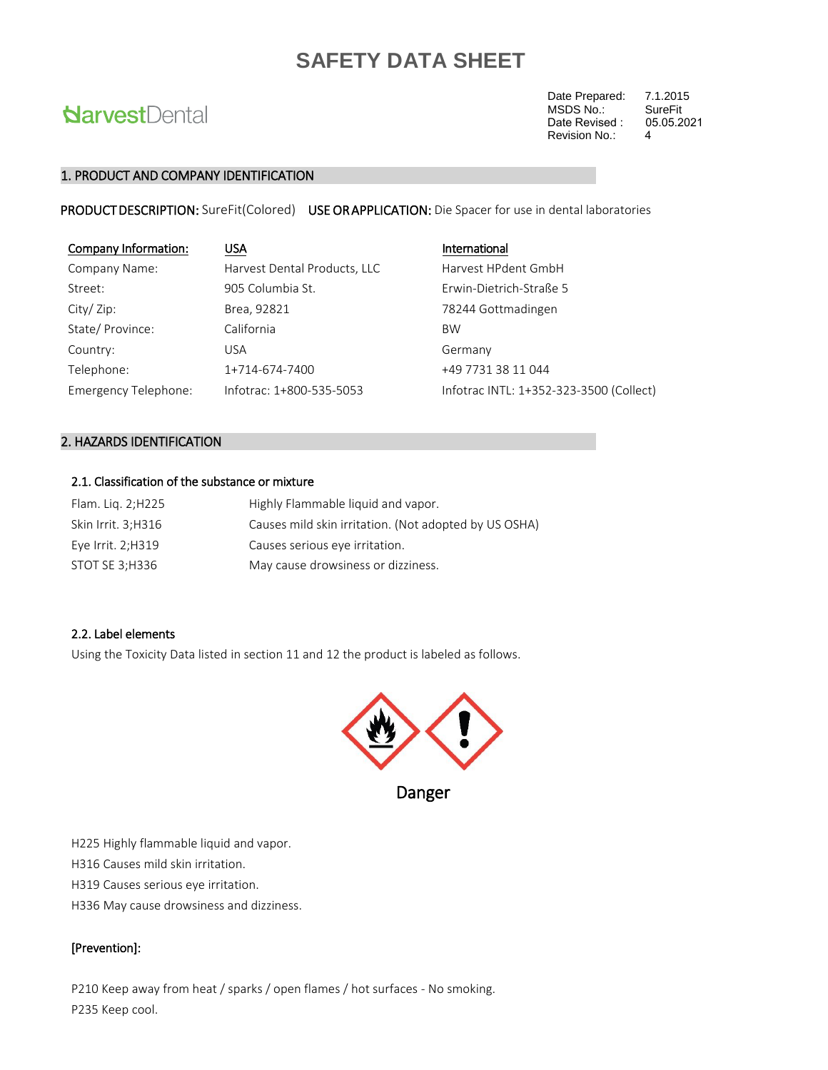# **NarvestDental**

Date Prepared: 7.1.2015<br>MSDS No.: SureFit MSDS No.: SureFit<br>Date Revised : 05.05.2021 Revision No.: 4 Date Revised :

#### 1. PRODUCT AND COMPANY IDENTIFICATION

PRODUCT DESCRIPTION: SureFit(Colored) USE OR APPLICATION: Die Spacer for use in dental laboratories

| Company Information: | <b>USA</b>                   | International                           |
|----------------------|------------------------------|-----------------------------------------|
| Company Name:        | Harvest Dental Products, LLC | Harvest HPdent GmbH                     |
| Street:              | 905 Columbia St.             | Erwin-Dietrich-Straße 5                 |
| City/Zip:            | Brea, 92821                  | 78244 Gottmadingen                      |
| State/Province:      | California                   | <b>BW</b>                               |
| Country:             | <b>USA</b>                   | Germany                                 |
| Telephone:           | 1+714-674-7400               | +49 7731 38 11 044                      |
| Emergency Telephone: | Infotrac: 1+800-535-5053     | Infotrac INTL: 1+352-323-3500 (Collect) |

#### 2. HAZARDS IDENTIFICATION

#### 2.1. Classification of the substance or mixture

| Flam. Lig. 2;H225  | Highly Flammable liquid and vapor.                    |
|--------------------|-------------------------------------------------------|
| Skin Irrit. 3;H316 | Causes mild skin irritation. (Not adopted by US OSHA) |
| Eye Irrit. 2;H319  | Causes serious eye irritation.                        |
| STOT SE 3;H336     | May cause drowsiness or dizziness.                    |

#### 2.2. Label elements

Using the Toxicity Data listed in section 11 and 12 the product is labeled as follows.



H225 Highly flammable liquid and vapor.

H316 Causes mild skin irritation.

H319 Causes serious eye irritation.

H336 May cause drowsiness and dizziness.

#### [Prevention]:

P210 Keep away from heat / sparks / open flames / hot surfaces - No smoking. P235 Keep cool.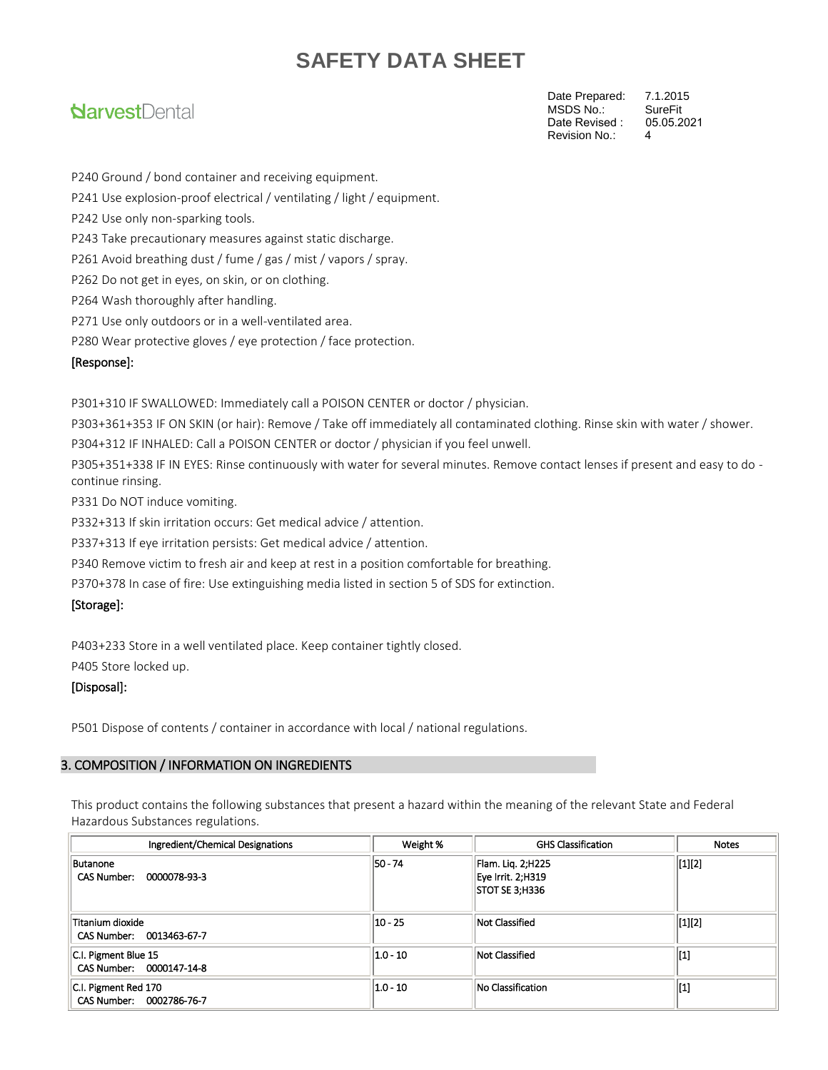### **NarvestDental**

Date Prepared: 7.1.2015<br>MSDS No.: SureFit MSDS No.: SureFit<br>Date Revised: 05.05.2021 Revision No.: 4 Date Revised :

P240 Ground / bond container and receiving equipment.

P241 Use explosion-proof electrical / ventilating / light / equipment.

P242 Use only non-sparking tools.

P243 Take precautionary measures against static discharge.

P261 Avoid breathing dust / fume / gas / mist / vapors / spray.

P262 Do not get in eyes, on skin, or on clothing.

P264 Wash thoroughly after handling.

P271 Use only outdoors or in a well-ventilated area.

P280 Wear protective gloves / eye protection / face protection.

#### [Response]:

P301+310 IF SWALLOWED: Immediately call a POISON CENTER or doctor / physician.

P303+361+353 IF ON SKIN (or hair): Remove / Take off immediately all contaminated clothing. Rinse skin with water / shower.

P304+312 IF INHALED: Call a POISON CENTER or doctor / physician if you feel unwell.

P305+351+338 IF IN EYES: Rinse continuously with water for several minutes. Remove contact lenses if present and easy to do continue rinsing.

P331 Do NOT induce vomiting.

P332+313 If skin irritation occurs: Get medical advice / attention.

P337+313 If eye irritation persists: Get medical advice / attention.

P340 Remove victim to fresh air and keep at rest in a position comfortable for breathing.

P370+378 In case of fire: Use extinguishing media listed in section 5 of SDS for extinction.

#### [Storage]:

P403+233 Store in a well ventilated place. Keep container tightly closed.

P405 Store locked up.

#### [Disposal]:

P501 Dispose of contents / container in accordance with local / national regulations.

#### 3. COMPOSITION / INFORMATION ON INGREDIENTS

This product contains the following substances that present a hazard within the meaning of the relevant State and Federal Hazardous Substances regulations.

| Ingredient/Chemical Designations                 | Weight %     | <b>GHS Classification</b>                                | <b>Notes</b>         |
|--------------------------------------------------|--------------|----------------------------------------------------------|----------------------|
| Butanone<br>CAS Number: 0000078-93-3             | 50 - 74      | Flam. Liq. 2;H225<br>Eye Irrit. 2;H319<br>STOT SE 3;H336 | $\vert [1][2] \vert$ |
| Titanium dioxide<br>CAS Number: 0013463-67-7     | $10 - 25$    | Not Classified                                           | $\vert [1][2]$       |
| C.I. Pigment Blue 15<br>CAS Number: 0000147-14-8 | $ 1.0 - 10 $ | Not Classified                                           | [1]                  |
| C.I. Pigment Red 170<br>CAS Number: 0002786-76-7 | $ 1.0 - 10 $ | No Classification                                        | [1]                  |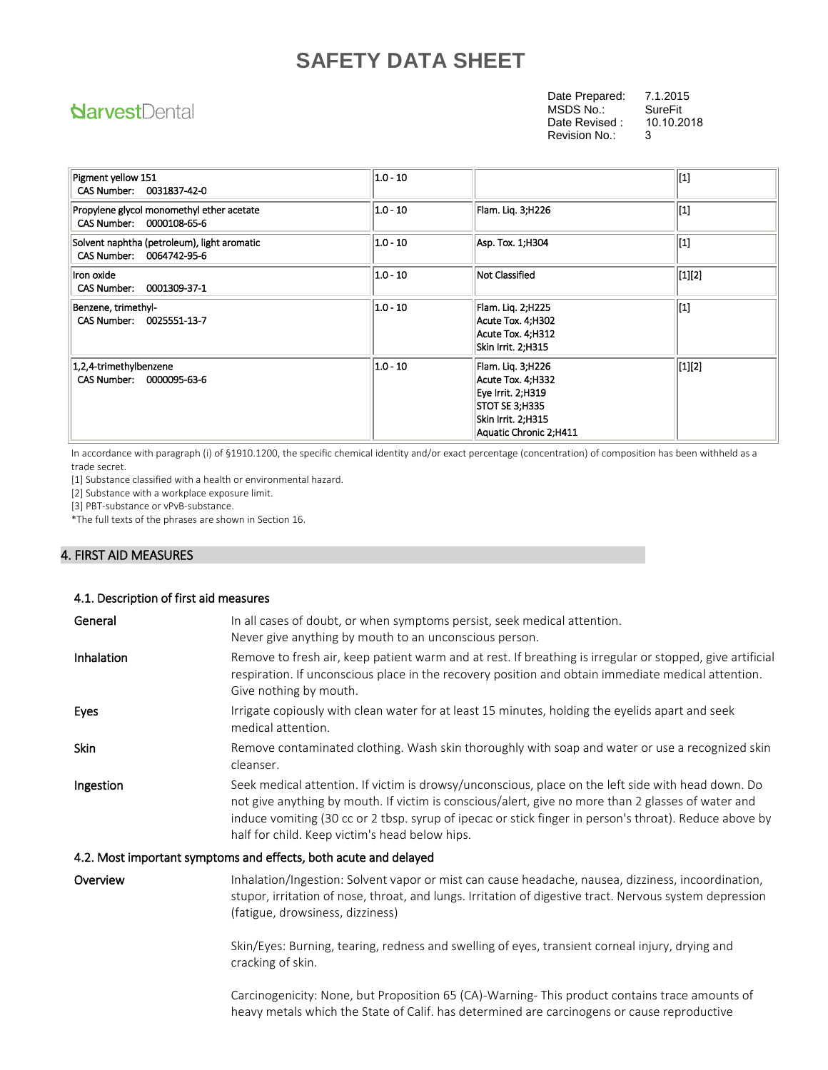### **NarvestDental**

Date Prepared: 7.1.2015<br>MSDS No.: SureFit MSDS No.: SureFit<br>Date Revised : 10.10.2018 Revision No.: 3 Date Revised :

Pigment yellow 151 CAS Number: 0031837-42-0 1.0 - 10  $||$   $||$ Propylene glycol monomethyl ether acetate CAS Number: 0000108-65-6  $|1.0 - 10|$  Flam. Liq. 3;H226  $|1.0 - 10|$ Solvent naphtha (petroleum), light aromatic CAS Number: 0064742-95-6  $|1.0 - 10|$   $|$ Asp. Tox. 1;H304  $|$ [1] Iron oxide CAS Number: 0001309-37-1 1.0 - 10 **Not Classified Not Classified [1][2]** Benzene, trimethyl- CAS Number: 0025551-13-7 1.0 - 10 Flam. Liq. 2;H225 Acute Tox. 4;H302 Acute Tox. 4;H312 Skin Irrit. 2;H315 [1] 1,2,4-trimethylbenzene CAS Number: 0000095-63-6 1.0 - 10 Flam. Liq. 3;H226 Acute Tox. 4;H332 Eye Irrit. 2;H319 STOT SE 3;H335 Skin Irrit. 2;H315 Aquatic Chronic 2;H411 [1][2]

In accordance with paragraph (i) of §1910.1200, the specific chemical identity and/or exact percentage (concentration) of composition has been withheld as a trade secret.

[1] Substance classified with a health or environmental hazard.

[2] Substance with a workplace exposure limit.

[3] PBT-substance or vPvB-substance.

\*The full texts of the phrases are shown in Section 16.

#### 4. FIRST AID MEASURES

| 4.1. Description of first aid measures |                                                                                                                                                                                                                                                                                                                                                                      |
|----------------------------------------|----------------------------------------------------------------------------------------------------------------------------------------------------------------------------------------------------------------------------------------------------------------------------------------------------------------------------------------------------------------------|
| General                                | In all cases of doubt, or when symptoms persist, seek medical attention.<br>Never give anything by mouth to an unconscious person.                                                                                                                                                                                                                                   |
| <b>Inhalation</b>                      | Remove to fresh air, keep patient warm and at rest. If breathing is irregular or stopped, give artificial<br>respiration. If unconscious place in the recovery position and obtain immediate medical attention.<br>Give nothing by mouth.                                                                                                                            |
| Eyes                                   | Irrigate copiously with clean water for at least 15 minutes, holding the eyelids apart and seek<br>medical attention.                                                                                                                                                                                                                                                |
| <b>Skin</b>                            | Remove contaminated clothing. Wash skin thoroughly with soap and water or use a recognized skin<br>cleanser.                                                                                                                                                                                                                                                         |
| Ingestion                              | Seek medical attention. If victim is drowsy/unconscious, place on the left side with head down. Do<br>not give anything by mouth. If victim is conscious/alert, give no more than 2 glasses of water and<br>induce vomiting (30 cc or 2 tbsp. syrup of ipecac or stick finger in person's throat). Reduce above by<br>half for child. Keep victim's head below hips. |
|                                        | 4.2. Most important symptoms and effects, both acute and delayed                                                                                                                                                                                                                                                                                                     |
| Overview                               | Inhalation/Ingestion: Solvent vapor or mist can cause headache, nausea, dizziness, incoordination,<br>stupor, irritation of nose, throat, and lungs. Irritation of digestive tract. Nervous system depression<br>(fatigue, drowsiness, dizziness)                                                                                                                    |
|                                        | Skin/Eyes: Burning, tearing, redness and swelling of eyes, transient corneal injury, drying and<br>cracking of skin.                                                                                                                                                                                                                                                 |

Carcinogenicity: None, but Proposition 65 (CA)-Warning- This product contains trace amounts of heavy metals which the State of Calif. has determined are carcinogens or cause reproductive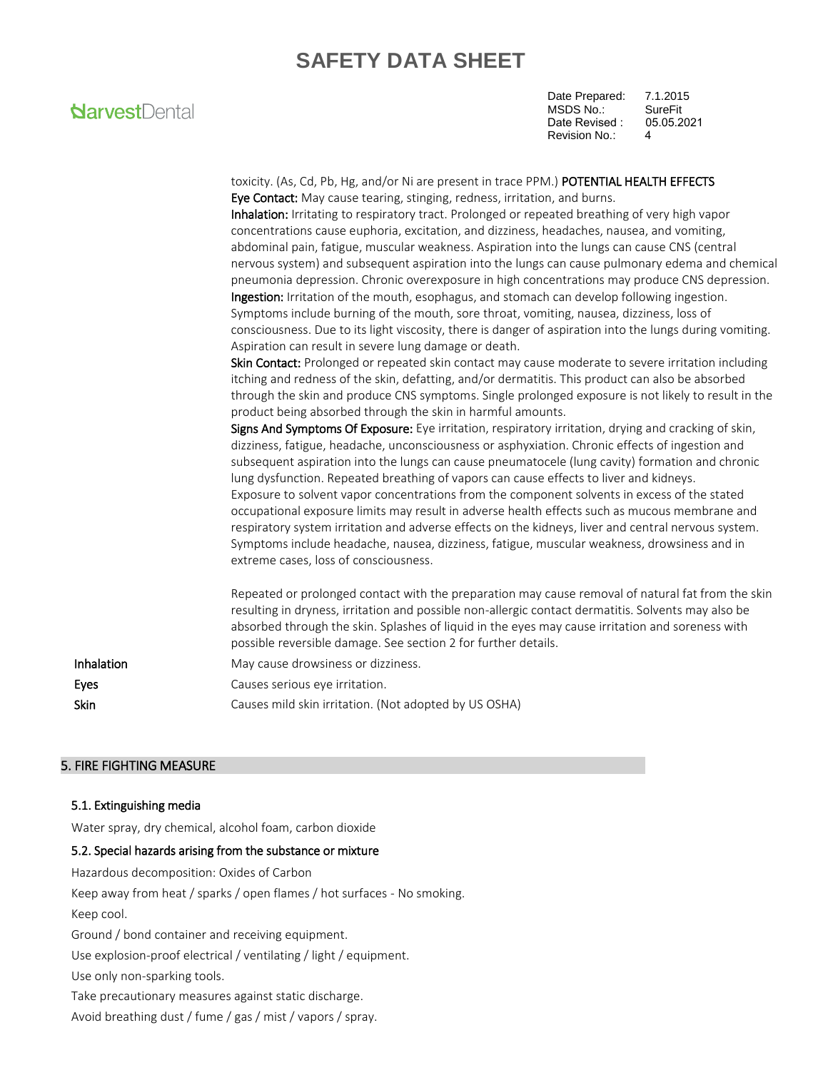### **NarvestDental**

Date Prepared: 7.1.2015 MSDS No.: SureFit<br>Date Revised : 05.05.2021 Revision No.: 4 Date Revised :

toxicity. (As, Cd, Pb, Hg, and/or Ni are present in trace PPM.) POTENTIAL HEALTH EFFECTS Eye Contact: May cause tearing, stinging, redness, irritation, and burns. Inhalation: Irritating to respiratory tract. Prolonged or repeated breathing of very high vapor concentrations cause euphoria, excitation, and dizziness, headaches, nausea, and vomiting, abdominal pain, fatigue, muscular weakness. Aspiration into the lungs can cause CNS (central nervous system) and subsequent aspiration into the lungs can cause pulmonary edema and chemical pneumonia depression. Chronic overexposure in high concentrations may produce CNS depression. Ingestion: Irritation of the mouth, esophagus, and stomach can develop following ingestion. Symptoms include burning of the mouth, sore throat, vomiting, nausea, dizziness, loss of consciousness. Due to its light viscosity, there is danger of aspiration into the lungs during vomiting. Aspiration can result in severe lung damage or death. Skin Contact: Prolonged or repeated skin contact may cause moderate to severe irritation including itching and redness of the skin, defatting, and/or dermatitis. This product can also be absorbed through the skin and produce CNS symptoms. Single prolonged exposure is not likely to result in the product being absorbed through the skin in harmful amounts. Signs And Symptoms Of Exposure: Eye irritation, respiratory irritation, drying and cracking of skin, dizziness, fatigue, headache, unconsciousness or asphyxiation. Chronic effects of ingestion and subsequent aspiration into the lungs can cause pneumatocele (lung cavity) formation and chronic lung dysfunction. Repeated breathing of vapors can cause effects to liver and kidneys. Exposure to solvent vapor concentrations from the component solvents in excess of the stated occupational exposure limits may result in adverse health effects such as mucous membrane and respiratory system irritation and adverse effects on the kidneys, liver and central nervous system. Symptoms include headache, nausea, dizziness, fatigue, muscular weakness, drowsiness and in extreme cases, loss of consciousness. Repeated or prolonged contact with the preparation may cause removal of natural fat from the skin resulting in dryness, irritation and possible non-allergic contact dermatitis. Solvents may also be absorbed through the skin. Splashes of liquid in the eyes may cause irritation and soreness with possible reversible damage. See section 2 for further details. Inhalation May cause drowsiness or dizziness. Eyes **Exercise Exercise Serious** eye irritation. Skin Skin Causes mild skin irritation. (Not adopted by US OSHA)

#### 5. FIRE FIGHTING MEASURE

#### 5.1. Extinguishing media

Water spray, dry chemical, alcohol foam, carbon dioxide

#### 5.2. Special hazards arising from the substance or mixture

Hazardous decomposition: Oxides of Carbon

Keep away from heat / sparks / open flames / hot surfaces - No smoking.

Keep cool.

Ground / bond container and receiving equipment.

Use explosion-proof electrical / ventilating / light / equipment.

Use only non-sparking tools.

Take precautionary measures against static discharge.

Avoid breathing dust / fume / gas / mist / vapors / spray.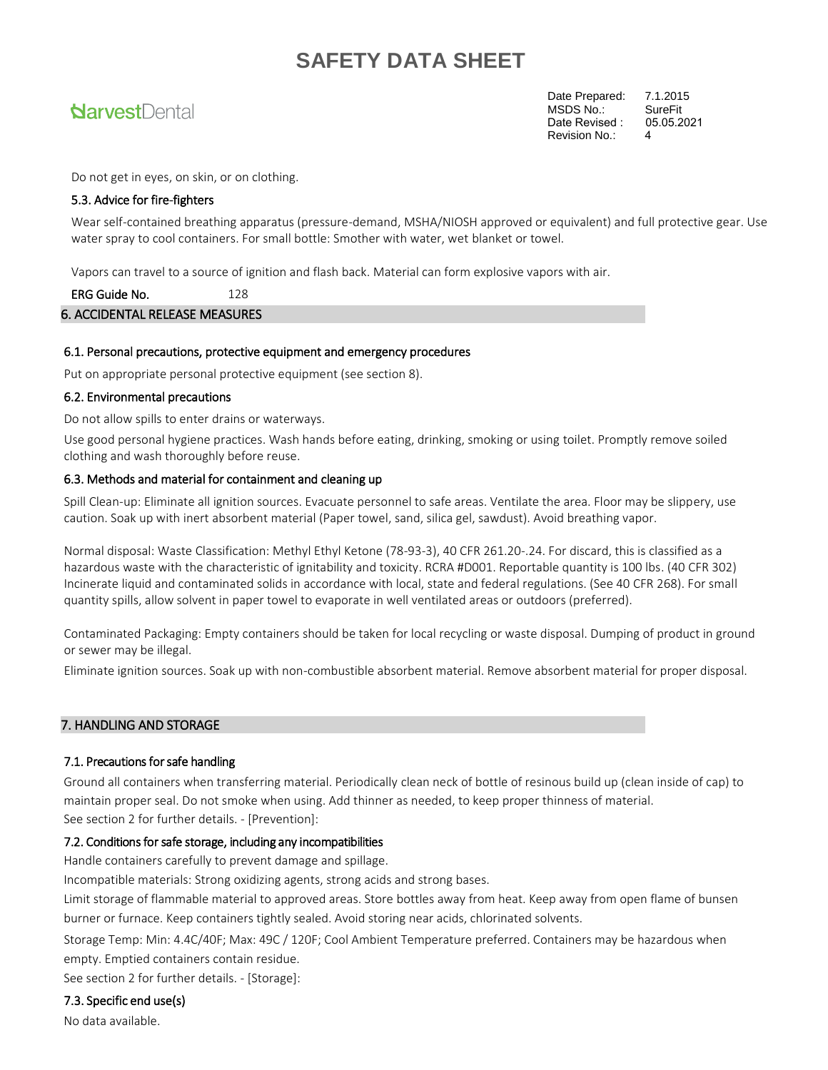### **NarvestDental**

Date Prepared: 7.1.2015<br>MSDS No.: SureFit MSDS No.: SureFit<br>Date Revised : 05.05.2021 Revision No.: 4 Date Revised :

Do not get in eyes, on skin, or on clothing.

#### 5.3. Advice for fire-fighters

Wear self-contained breathing apparatus (pressure-demand, MSHA/NIOSH approved or equivalent) and full protective gear. Use water spray to cool containers. For small bottle: Smother with water, wet blanket or towel.

Vapors can travel to a source of ignition and flash back. Material can form explosive vapors with air.

ERG Guide No. 128 6. ACCIDENTAL RELEASE MEASURES

#### 6.1. Personal precautions, protective equipment and emergency procedures

Put on appropriate personal protective equipment (see section 8).

#### 6.2. Environmental precautions

Do not allow spills to enter drains or waterways.

Use good personal hygiene practices. Wash hands before eating, drinking, smoking or using toilet. Promptly remove soiled clothing and wash thoroughly before reuse.

#### 6.3. Methods and material for containment and cleaning up

Spill Clean-up: Eliminate all ignition sources. Evacuate personnel to safe areas. Ventilate the area. Floor may be slippery, use caution. Soak up with inert absorbent material (Paper towel, sand, silica gel, sawdust). Avoid breathing vapor.

Normal disposal: Waste Classification: Methyl Ethyl Ketone (78-93-3), 40 CFR 261.20-.24. For discard, this is classified as a hazardous waste with the characteristic of ignitability and toxicity. RCRA #D001. Reportable quantity is 100 lbs. (40 CFR 302) Incinerate liquid and contaminated solids in accordance with local, state and federal regulations. (See 40 CFR 268). For small quantity spills, allow solvent in paper towel to evaporate in well ventilated areas or outdoors (preferred).

Contaminated Packaging: Empty containers should be taken for local recycling or waste disposal. Dumping of product in ground or sewer may be illegal.

Eliminate ignition sources. Soak up with non-combustible absorbent material. Remove absorbent material for proper disposal.

#### 7. HANDLING AND STORAGE

#### 7.1. Precautions for safe handling

Ground all containers when transferring material. Periodically clean neck of bottle of resinous build up (clean inside of cap) to maintain proper seal. Do not smoke when using. Add thinner as needed, to keep proper thinness of material.

See section 2 for further details. - [Prevention]:

#### 7.2. Conditions for safe storage, including any incompatibilities

Handle containers carefully to prevent damage and spillage.

Incompatible materials: Strong oxidizing agents, strong acids and strong bases.

Limit storage of flammable material to approved areas. Store bottles away from heat. Keep away from open flame of bunsen burner or furnace. Keep containers tightly sealed. Avoid storing near acids, chlorinated solvents.

Storage Temp: Min: 4.4C/40F; Max: 49C / 120F; Cool Ambient Temperature preferred. Containers may be hazardous when empty. Emptied containers contain residue.

See section 2 for further details. - [Storage]:

7.3. Specific end use(s)

No data available.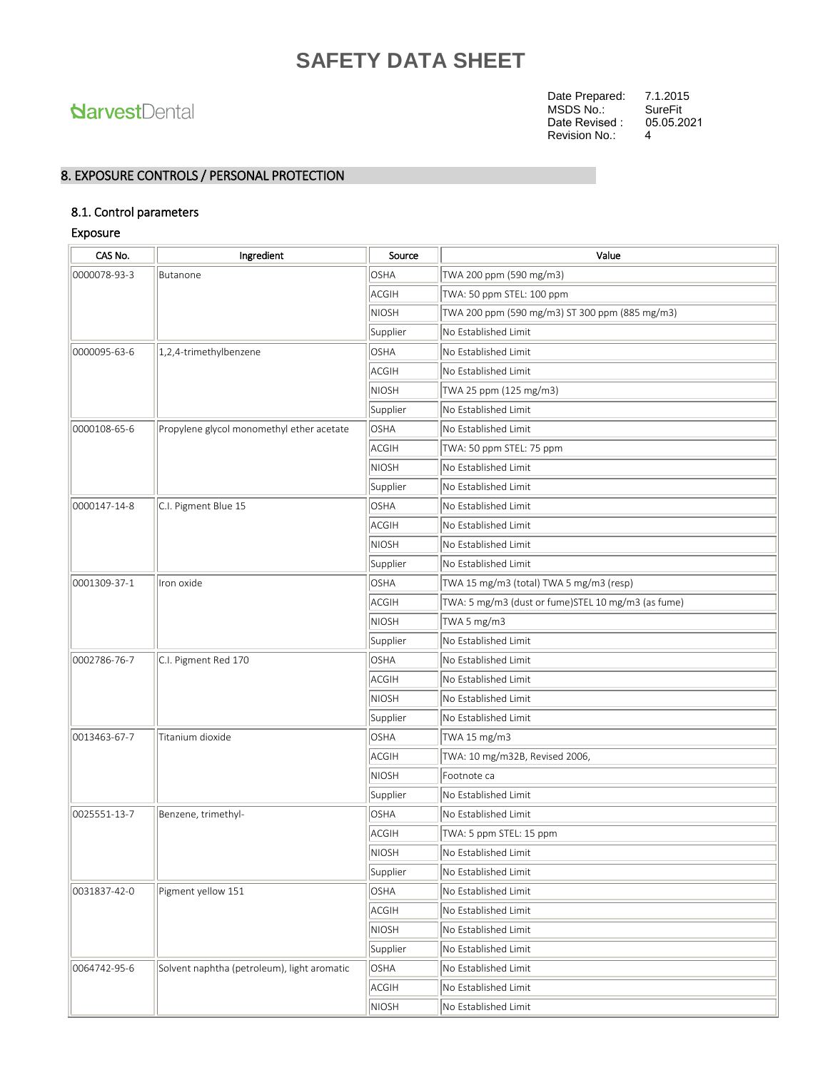### **NarvestDental**

Date Prepared: 7.1.2015<br>MSDS No.: SureFit MSDS No.: Revision No.: 4 Date Revised : 05.05.2021

### 8. EXPOSURE CONTROLS / PERSONAL PROTECTION

#### 8.1. Control parameters

#### Exposure

| CAS No.      | Ingredient                                  | Source       | Value                                              |
|--------------|---------------------------------------------|--------------|----------------------------------------------------|
| 0000078-93-3 | Butanone                                    | <b>OSHA</b>  | TWA 200 ppm (590 mg/m3)                            |
|              |                                             | <b>ACGIH</b> | TWA: 50 ppm STEL: 100 ppm                          |
|              |                                             | <b>NIOSH</b> | TWA 200 ppm (590 mg/m3) ST 300 ppm (885 mg/m3)     |
|              |                                             | Supplier     | No Established Limit                               |
| 0000095-63-6 | 1,2,4-trimethylbenzene                      | <b>OSHA</b>  | No Established Limit                               |
|              |                                             | ACGIH        | No Established Limit                               |
|              |                                             | <b>NIOSH</b> | TWA 25 ppm (125 mg/m3)                             |
|              |                                             | Supplier     | No Established Limit                               |
| 0000108-65-6 | Propylene glycol monomethyl ether acetate   | <b>OSHA</b>  | No Established Limit                               |
|              |                                             | <b>ACGIH</b> | TWA: 50 ppm STEL: 75 ppm                           |
|              |                                             | <b>NIOSH</b> | No Established Limit                               |
|              |                                             | Supplier     | No Established Limit                               |
| 0000147-14-8 | C.I. Pigment Blue 15                        | <b>OSHA</b>  | No Established Limit                               |
|              |                                             | ACGIH        | No Established Limit                               |
|              |                                             | <b>NIOSH</b> | No Established Limit                               |
|              |                                             | Supplier     | No Established Limit                               |
| 0001309-37-1 | Iron oxide                                  | OSHA         | TWA 15 mg/m3 (total) TWA 5 mg/m3 (resp)            |
|              |                                             | <b>ACGIH</b> | TWA: 5 mg/m3 (dust or fume)STEL 10 mg/m3 (as fume) |
|              |                                             | <b>NIOSH</b> | TWA 5 mg/m3                                        |
|              |                                             | Supplier     | No Established Limit                               |
| 0002786-76-7 | C.I. Pigment Red 170                        | <b>OSHA</b>  | No Established Limit                               |
|              |                                             | ACGIH        | No Established Limit                               |
|              |                                             | <b>NIOSH</b> | No Established Limit                               |
|              |                                             | Supplier     | No Established Limit                               |
| 0013463-67-7 | Titanium dioxide                            | OSHA         | TWA 15 mg/m3                                       |
|              |                                             | <b>ACGIH</b> | TWA: 10 mg/m32B, Revised 2006,                     |
|              |                                             | <b>NIOSH</b> | Footnote ca                                        |
|              |                                             | Supplier     | No Established Limit                               |
| 0025551-13-7 | Benzene, trimethyl-                         | <b>OSHA</b>  | No Established Limit                               |
|              |                                             | <b>ACGIH</b> | TWA: 5 ppm STEL: 15 ppm                            |
|              |                                             | <b>NIOSH</b> | No Established Limit                               |
|              |                                             | Supplier     | No Established Limit                               |
| 0031837-42-0 | Pigment yellow 151                          | OSHA         | No Established Limit                               |
|              |                                             | <b>ACGIH</b> | No Established Limit                               |
|              |                                             | NIOSH        | No Established Limit                               |
|              |                                             | Supplier     | No Established Limit                               |
| 0064742-95-6 | Solvent naphtha (petroleum), light aromatic | <b>OSHA</b>  | No Established Limit                               |
|              |                                             | <b>ACGIH</b> | No Established Limit                               |
|              |                                             | NIOSH        | No Established Limit                               |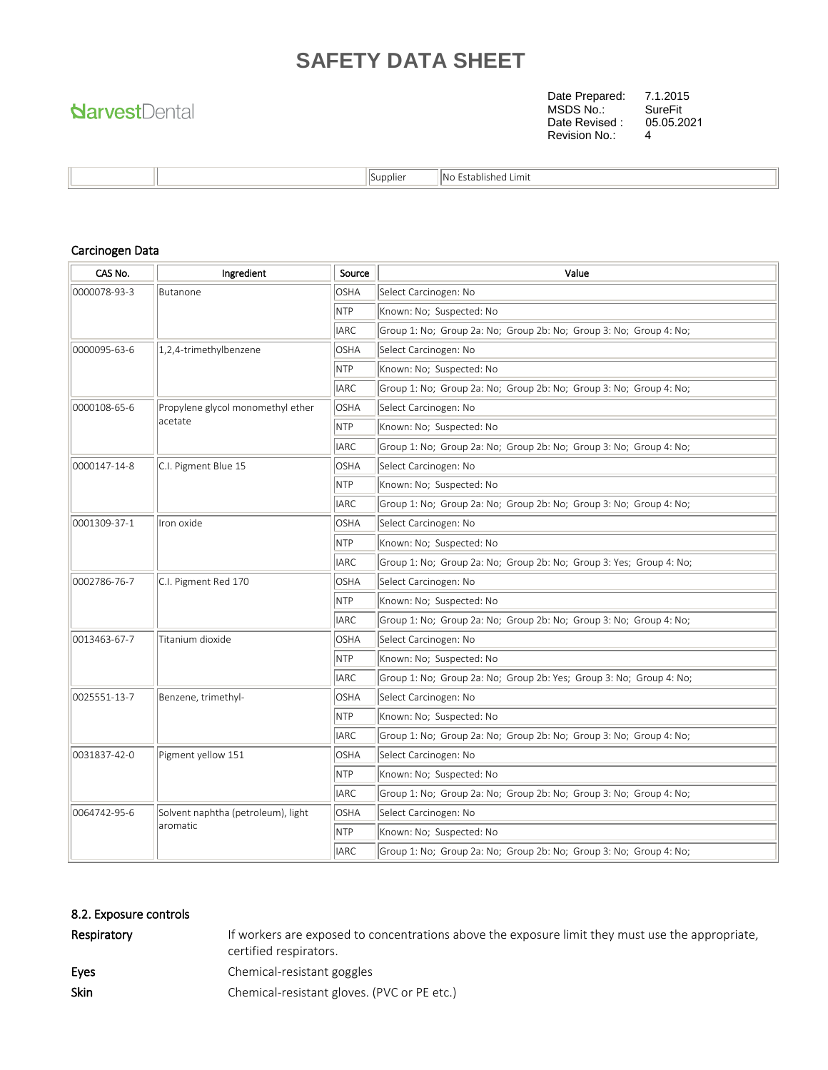## **NarvestDental**

Date Prepared: 7.1.2015 MSDS No.: SureFit Revision No.: 4 Date Revised : 05.05.2021

|  | . .<br><b>Supplier</b> | <br>1No<br>Limit<br>stablished. |
|--|------------------------|---------------------------------|
|--|------------------------|---------------------------------|

#### Carcinogen Data

| CAS No.                              | Ingredient                         | Source          | Value                                                               |  |  |  |
|--------------------------------------|------------------------------------|-----------------|---------------------------------------------------------------------|--|--|--|
| 0000078-93-3<br>Butanone             |                                    | <b>OSHA</b>     | Select Carcinogen: No                                               |  |  |  |
|                                      |                                    | NTP             | Known: No; Suspected: No                                            |  |  |  |
|                                      |                                    | <b>IARC</b>     | Group 1: No; Group 2a: No; Group 2b: No; Group 3: No; Group 4: No;  |  |  |  |
| 0000095-63-6                         | 1,2,4-trimethylbenzene             | <b>OSHA</b>     | Select Carcinogen: No                                               |  |  |  |
|                                      |                                    | NTP             | Known: No; Suspected: No                                            |  |  |  |
|                                      |                                    | <b>IARC</b>     | Group 1: No; Group 2a: No; Group 2b: No; Group 3: No; Group 4: No;  |  |  |  |
| 0000108-65-6                         | Propylene glycol monomethyl ether  | <b>OSHA</b>     | Select Carcinogen: No                                               |  |  |  |
|                                      | acetate                            | N <sub>TP</sub> | Known: No; Suspected: No                                            |  |  |  |
|                                      |                                    | <b>IARC</b>     | Group 1: No; Group 2a: No; Group 2b: No; Group 3: No; Group 4: No;  |  |  |  |
| 0000147-14-8                         | C.I. Pigment Blue 15               | <b>OSHA</b>     | Select Carcinogen: No                                               |  |  |  |
|                                      |                                    | NTP             | Known: No; Suspected: No                                            |  |  |  |
|                                      |                                    | <b>IARC</b>     | Group 1: No: Group 2a: No: Group 2b: No: Group 3: No: Group 4: No:  |  |  |  |
| 0001309-37-1                         | Iron oxide                         | OSHA            | Select Carcinogen: No                                               |  |  |  |
|                                      |                                    | NTP             | Known: No; Suspected: No                                            |  |  |  |
|                                      |                                    | <b>IARC</b>     | Group 1: No; Group 2a: No; Group 2b: No; Group 3: Yes; Group 4: No; |  |  |  |
| 0002786-76-7<br>C.I. Pigment Red 170 |                                    | <b>OSHA</b>     | Select Carcinogen: No                                               |  |  |  |
|                                      |                                    | NTP             | Known: No; Suspected: No                                            |  |  |  |
|                                      |                                    | <b>IARC</b>     | Group 1: No; Group 2a: No; Group 2b: No; Group 3: No; Group 4: No;  |  |  |  |
| 0013463-67-7                         | Titanium dioxide                   | <b>OSHA</b>     | Select Carcinogen: No                                               |  |  |  |
|                                      |                                    | <b>NTP</b>      | Known: No; Suspected: No                                            |  |  |  |
|                                      |                                    | <b>IARC</b>     | Group 1: No; Group 2a: No; Group 2b: Yes; Group 3: No; Group 4: No; |  |  |  |
| 0025551-13-7                         | Benzene, trimethyl-                | <b>OSHA</b>     | Select Carcinogen: No                                               |  |  |  |
|                                      |                                    | <b>NTP</b>      | Known: No; Suspected: No                                            |  |  |  |
|                                      |                                    | <b>IARC</b>     | Group 1: No; Group 2a: No; Group 2b: No; Group 3: No; Group 4: No;  |  |  |  |
| 0031837-42-0                         | Pigment yellow 151                 | <b>OSHA</b>     | Select Carcinogen: No                                               |  |  |  |
|                                      |                                    | NTP             | Known: No; Suspected: No                                            |  |  |  |
|                                      |                                    | <b>IARC</b>     | Group 1: No; Group 2a: No; Group 2b: No; Group 3: No; Group 4: No;  |  |  |  |
| 0064742-95-6                         | Solvent naphtha (petroleum), light | <b>OSHA</b>     | Select Carcinogen: No                                               |  |  |  |
|                                      | aromatic                           | <b>NTP</b>      | Known: No; Suspected: No                                            |  |  |  |
|                                      |                                    | <b>IARC</b>     | Group 1: No; Group 2a: No; Group 2b: No; Group 3: No; Group 4: No;  |  |  |  |

#### 8.2. Exposure controls

| Respiratory | If workers are exposed to concentrations above the exposure limit they must use the appropriate,<br>certified respirators. |
|-------------|----------------------------------------------------------------------------------------------------------------------------|
| Eves        | Chemical-resistant goggles                                                                                                 |
| Skin        | Chemical-resistant gloves. (PVC or PE etc.)                                                                                |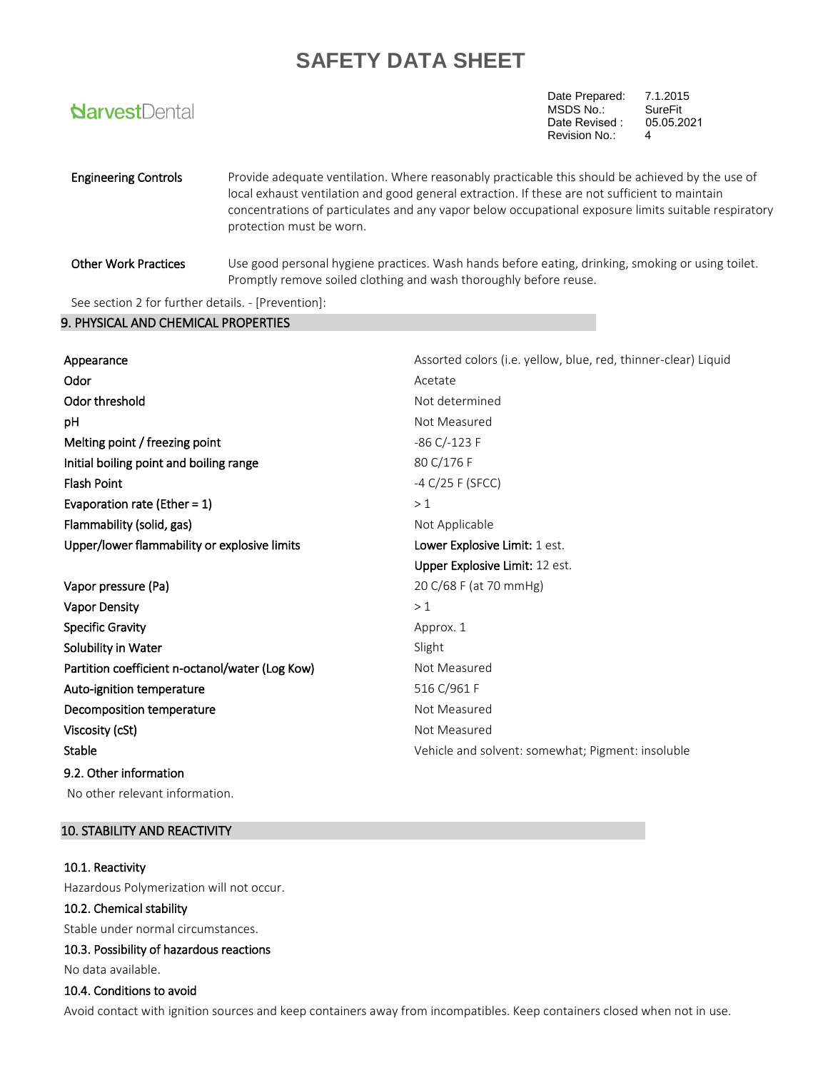| <b>NarvestDental</b>        |                                                                                                                                                                                                                                                                                                                                        | Date Prepared:<br>MSDS No.:<br>Date Revised:<br>Revision No.: | 7.1.2015<br><b>SureFit</b><br>05.05.2021<br>4 |
|-----------------------------|----------------------------------------------------------------------------------------------------------------------------------------------------------------------------------------------------------------------------------------------------------------------------------------------------------------------------------------|---------------------------------------------------------------|-----------------------------------------------|
| <b>Engineering Controls</b> | Provide adequate ventilation. Where reasonably practicable this should be achieved by the use of<br>local exhaust ventilation and good general extraction. If these are not sufficient to maintain<br>concentrations of particulates and any vapor below occupational exposure limits suitable respiratory<br>protection must be worn. |                                                               |                                               |
| <b>Other Work Practices</b> | Use good personal hygiene practices. Wash hands before eating, drinking, smoking or using toilet.<br>Promptly remove soiled clothing and wash thoroughly before reuse.                                                                                                                                                                 |                                                               |                                               |
|                             |                                                                                                                                                                                                                                                                                                                                        |                                                               |                                               |

See section 2 for further details. - [Prevention]:

#### 9. PHYSICAL AND CHEMICAL PROPERTIES

| Appearance                                      | Assorted colors (i.e. yellow, blue, red, thinner-clear) Liquid |
|-------------------------------------------------|----------------------------------------------------------------|
| Odor                                            | Acetate                                                        |
| Odor threshold                                  | Not determined                                                 |
| рH                                              | Not Measured                                                   |
| Melting point / freezing point                  | $-86$ C/ $-123$ F                                              |
| Initial boiling point and boiling range         | 80 C/176 F                                                     |
| <b>Flash Point</b>                              | -4 $C/25$ F (SFCC)                                             |
| Evaporation rate (Ether = $1$ )                 | >1                                                             |
| Flammability (solid, gas)                       | Not Applicable                                                 |
| Upper/lower flammability or explosive limits    | Lower Explosive Limit: 1 est.                                  |
|                                                 | Upper Explosive Limit: 12 est.                                 |
| Vapor pressure (Pa)                             | 20 C/68 F (at 70 mmHg)                                         |
| <b>Vapor Density</b>                            | >1                                                             |
| <b>Specific Gravity</b>                         | Approx. 1                                                      |
| Solubility in Water                             | Slight                                                         |
| Partition coefficient n-octanol/water (Log Kow) | Not Measured                                                   |
| Auto-ignition temperature                       | 516 C/961 F                                                    |
| Decomposition temperature                       | Not Measured                                                   |
| Viscosity (cSt)                                 | Not Measured                                                   |
| Stable                                          | Vehicle and solvent: somewhat; Pigment: insoluble              |
| 9.2. Other information                          |                                                                |
| No other relevant information.                  |                                                                |

#### 10. STABILITY AND REACTIVITY

#### 10.1. Reactivity

Hazardous Polymerization will not occur.

#### 10.2. Chemical stability

Stable under normal circumstances.

#### 10.3. Possibility of hazardous reactions

No data available.

#### 10.4. Conditions to avoid

Avoid contact with ignition sources and keep containers away from incompatibles. Keep containers closed when not in use.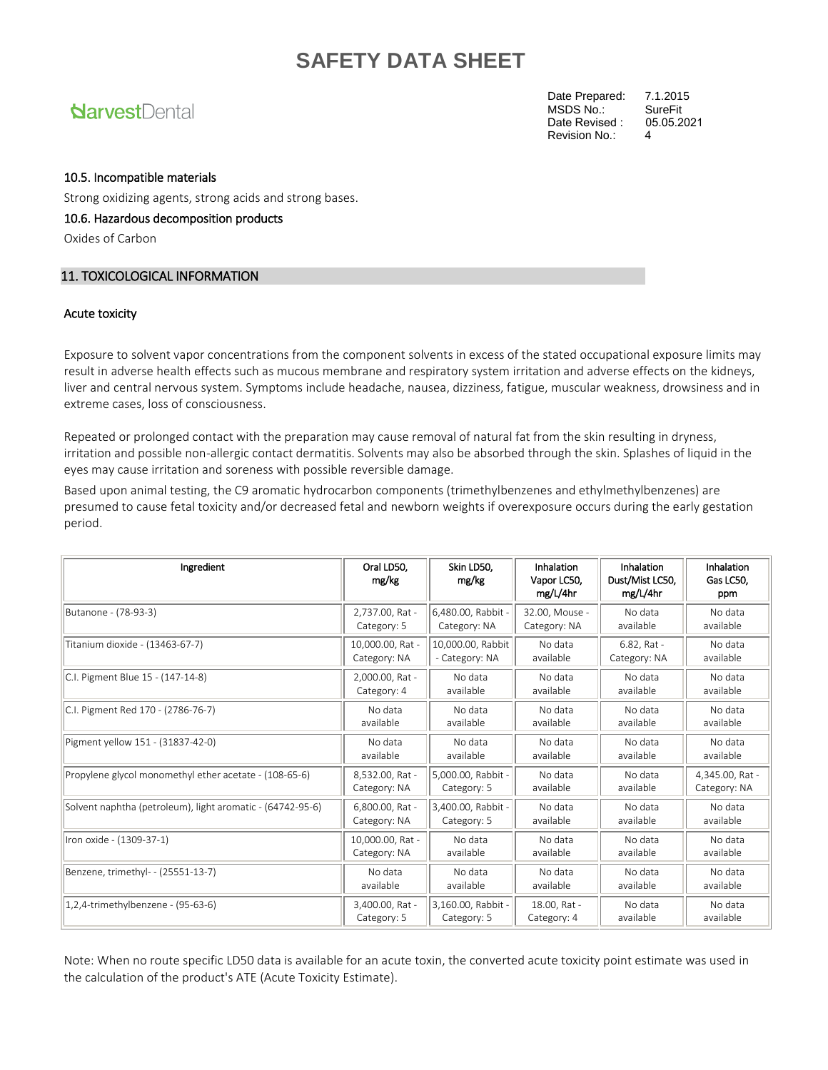### **NarvestDental**

Date Prepared: 7.1.2015<br>MSDS No.: SureFit MSDS No.: SureFit<br>Date Revised : 05.05.2021 Revision No.: 4 Date Revised :

#### 10.5. Incompatible materials

Strong oxidizing agents, strong acids and strong bases.

#### 10.6. Hazardous decomposition products

Oxides of Carbon

#### 11. TOXICOLOGICAL INFORMATION

#### Acute toxicity

Exposure to solvent vapor concentrations from the component solvents in excess of the stated occupational exposure limits may result in adverse health effects such as mucous membrane and respiratory system irritation and adverse effects on the kidneys, liver and central nervous system. Symptoms include headache, nausea, dizziness, fatigue, muscular weakness, drowsiness and in extreme cases, loss of consciousness.

Repeated or prolonged contact with the preparation may cause removal of natural fat from the skin resulting in dryness, irritation and possible non-allergic contact dermatitis. Solvents may also be absorbed through the skin. Splashes of liquid in the eyes may cause irritation and soreness with possible reversible damage.

Based upon animal testing, the C9 aromatic hydrocarbon components (trimethylbenzenes and ethylmethylbenzenes) are presumed to cause fetal toxicity and/or decreased fetal and newborn weights if overexposure occurs during the early gestation period.

| Ingredient                                                 | Oral LD50.<br>mg/kg | Skin LD50.<br>mg/kg | Inhalation<br>Vapor LC50,<br>mg/L/4hr | Inhalation<br>Dust/Mist LC50,<br>mg/L/4hr | Inhalation<br>Gas LC50,<br>ppm |
|------------------------------------------------------------|---------------------|---------------------|---------------------------------------|-------------------------------------------|--------------------------------|
| Butanone - (78-93-3)                                       | 2,737.00, Rat -     | 6,480.00, Rabbit -  | 32.00. Mouse -                        | No data                                   | No data                        |
|                                                            | Category: 5         | Category: NA        | Category: NA                          | available                                 | available                      |
| Titanium dioxide - (13463-67-7)                            | 10,000.00, Rat -    | 10,000.00, Rabbit   | No data                               | 6.82, Rat -                               | No data                        |
|                                                            | Category: NA        | - Category: NA      | available                             | Category: NA                              | available                      |
| C.I. Pigment Blue 15 - (147-14-8)                          | 2,000.00, Rat -     | No data             | No data                               | No data                                   | No data                        |
|                                                            | Category: 4         | available           | available                             | available                                 | available                      |
| C.I. Pigment Red 170 - (2786-76-7)                         | No data             | No data             | No data                               | No data                                   | No data                        |
|                                                            | available           | available           | available                             | available                                 | available                      |
| Pigment yellow 151 - (31837-42-0)                          | No data             | No data             | No data                               | No data                                   | No data                        |
|                                                            | available           | available           | available                             | available                                 | available                      |
| Propylene glycol monomethyl ether acetate - (108-65-6)     | 8,532.00, Rat -     | 5,000.00, Rabbit -  | No data                               | No data                                   | 4,345.00, Rat -                |
|                                                            | Category: NA        | Category: 5         | available                             | available                                 | Category: NA                   |
| Solvent naphtha (petroleum), light aromatic - (64742-95-6) | 6,800.00, Rat -     | 3.400.00. Rabbit -  | No data                               | No data                                   | No data                        |
|                                                            | Category: NA        | Category: 5         | available                             | available                                 | available                      |
| Iron oxide - (1309-37-1)                                   | 10,000.00, Rat -    | No data             | No data                               | No data                                   | No data                        |
|                                                            | Category: NA        | available           | available                             | available                                 | available                      |
| Benzene, trimethyl- - (25551-13-7)                         | No data             | No data             | No data                               | No data                                   | No data                        |
|                                                            | available           | available           | available                             | available                                 | available                      |
| 1,2,4-trimethylbenzene - (95-63-6)                         | 3,400.00, Rat -     | 3,160.00, Rabbit -  | 18.00, Rat -                          | No data                                   | No data                        |
|                                                            | Category: 5         | Category: 5         | Category: 4                           | available                                 | available                      |

Note: When no route specific LD50 data is available for an acute toxin, the converted acute toxicity point estimate was used in the calculation of the product's ATE (Acute Toxicity Estimate).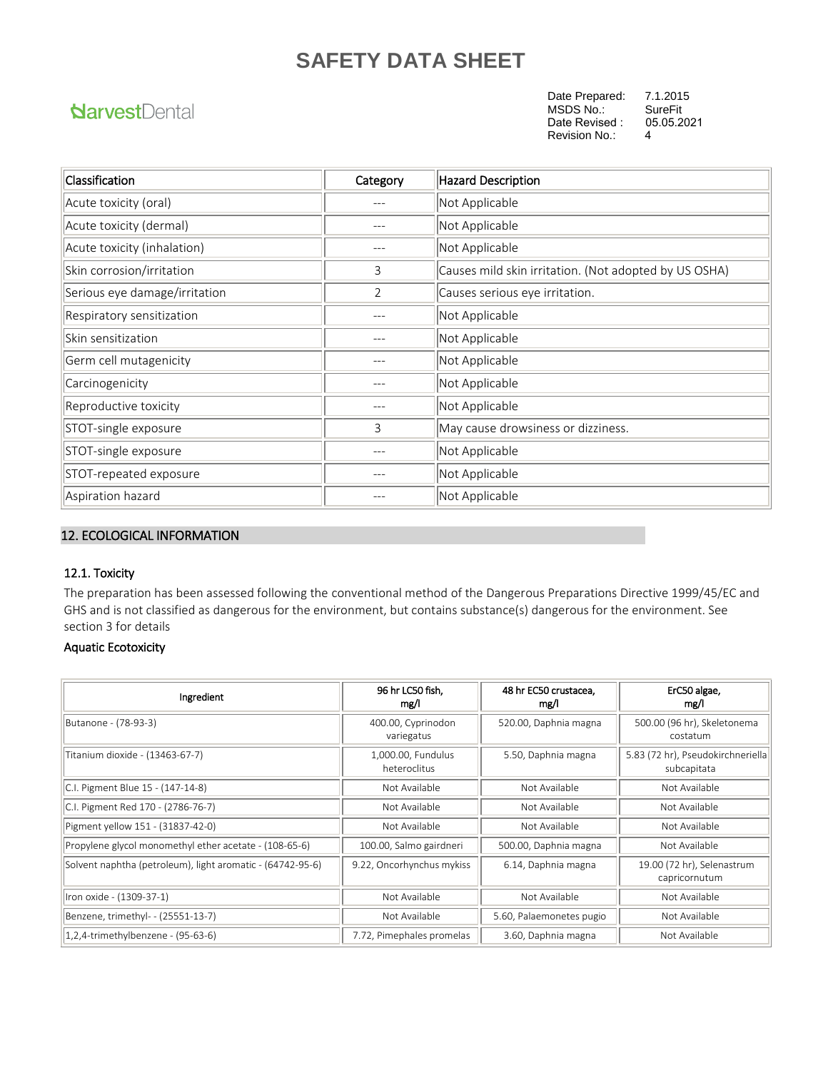### **NarvestDental**

Date Prepared: 7.1.2015<br>MSDS No.: SureFit MSDS No.: SureFit<br>Date Revised : 05.05.2021 Revision No.: 4 Date Revised :

| Classification                | Category | <b>Hazard Description</b>                             |
|-------------------------------|----------|-------------------------------------------------------|
| Acute toxicity (oral)         |          | Not Applicable                                        |
| Acute toxicity (dermal)       |          | Not Applicable                                        |
| Acute toxicity (inhalation)   |          | Not Applicable                                        |
| Skin corrosion/irritation     | 3        | Causes mild skin irritation. (Not adopted by US OSHA) |
| Serious eye damage/irritation | 2        | Causes serious eye irritation.                        |
| Respiratory sensitization     |          | Not Applicable                                        |
| lSkin sensitization           |          | Not Applicable                                        |
| Germ cell mutagenicity        |          | Not Applicable                                        |
| Carcinogenicity               |          | Not Applicable                                        |
| Reproductive toxicity         |          | Not Applicable                                        |
| STOT-single exposure          | 3        | May cause drowsiness or dizziness.                    |
| STOT-single exposure          |          | Not Applicable                                        |
| STOT-repeated exposure        |          | Not Applicable                                        |
| Aspiration hazard             |          | Not Applicable                                        |

#### 12. ECOLOGICAL INFORMATION

#### 12.1. Toxicity

The preparation has been assessed following the conventional method of the Dangerous Preparations Directive 1999/45/EC and GHS and is not classified as dangerous for the environment, but contains substance(s) dangerous for the environment. See section 3 for details

#### Aquatic Ecotoxicity

| Ingredient                                                 | 96 hr LC50 fish,<br>mg/l           | 48 hr EC50 crustacea,<br>mg/l | ErC50 algae,<br>mg/l                             |
|------------------------------------------------------------|------------------------------------|-------------------------------|--------------------------------------------------|
| Butanone - (78-93-3)                                       | 400.00, Cyprinodon<br>variegatus   | 520.00, Daphnia magna         | 500.00 (96 hr), Skeletonema<br>costatum          |
| Titanium dioxide - (13463-67-7)                            | 1,000.00, Fundulus<br>heteroclitus | 5.50, Daphnia magna           | 5.83 (72 hr), Pseudokirchneriella<br>subcapitata |
| C.I. Pigment Blue 15 - (147-14-8)                          | Not Available                      | Not Available                 | Not Available                                    |
| C.I. Pigment Red 170 - (2786-76-7)                         | Not Available                      | Not Available                 | Not Available                                    |
| Pigment yellow 151 - (31837-42-0)                          | Not Available                      | Not Available                 | Not Available                                    |
| Propylene glycol monomethyl ether acetate - (108-65-6)     | 100.00, Salmo gairdneri            | 500.00, Daphnia magna         | Not Available                                    |
| Solvent naphtha (petroleum), light aromatic - (64742-95-6) | 9.22, Oncorhynchus mykiss          | 6.14, Daphnia magna           | 19.00 (72 hr), Selenastrum<br>capricornutum      |
| Iron oxide - (1309-37-1)                                   | Not Available                      | Not Available                 | Not Available                                    |
| Benzene, trimethyl- - (25551-13-7)                         | Not Available                      | 5.60, Palaemonetes pugio      | Not Available                                    |
| 1,2,4-trimethylbenzene - (95-63-6)                         | 7.72, Pimephales promelas          | 3.60, Daphnia magna           | Not Available                                    |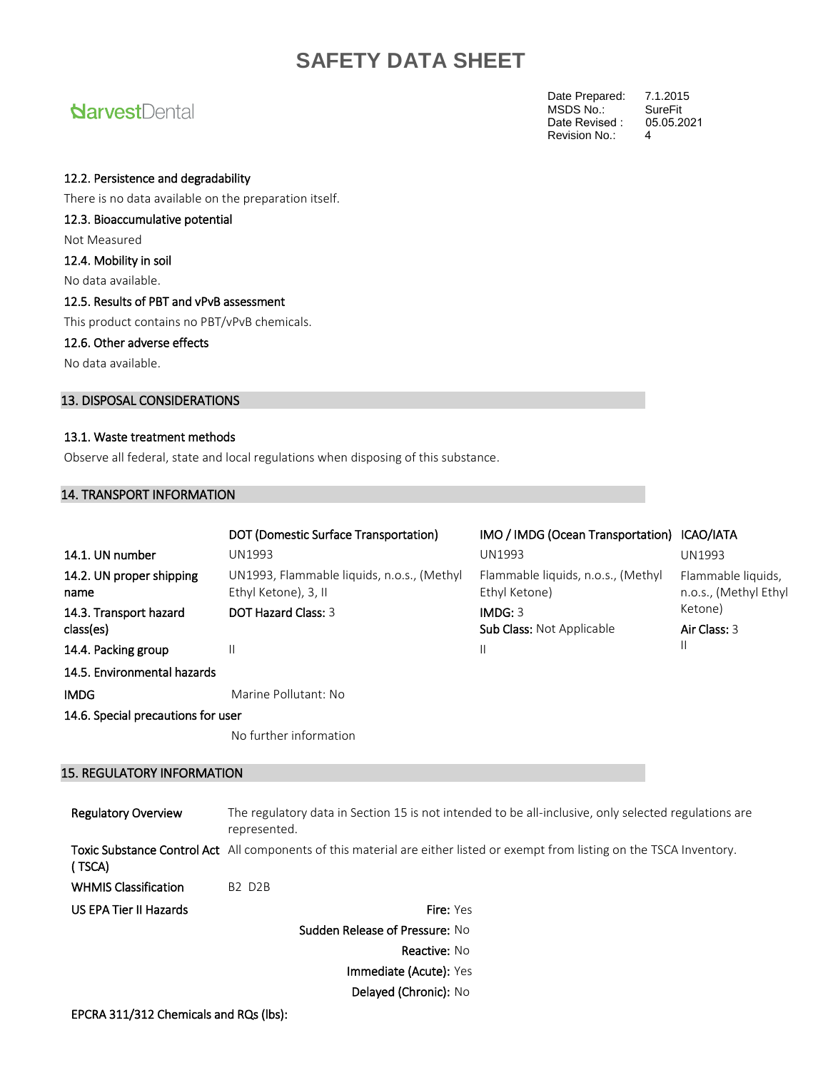### **NarvestDental**

Date Prepared: 7.1.2015<br>MSDS No.: SureFit MSDS No.: SureFit<br>Date Revised: 05.05.2021 Revision No.: 4 Date Revised :

#### 12.2. Persistence and degradability

There is no data available on the preparation itself.

12.3. Bioaccumulative potential

Not Measured

12.4. Mobility in soil

No data available.

#### 12.5. Results of PBT and vPvB assessment

This product contains no PBT/vPvB chemicals.

#### 12.6. Other adverse effects

No data available.

#### 13. DISPOSAL CONSIDERATIONS

#### 13.1. Waste treatment methods

Observe all federal, state and local regulations when disposing of this substance.

#### 14. TRANSPORT INFORMATION

|                                     | DOT (Domestic Surface Transportation)                              | IMO / IMDG (Ocean Transportation) ICAO/IATA         |                                             |
|-------------------------------------|--------------------------------------------------------------------|-----------------------------------------------------|---------------------------------------------|
| 14.1. UN number                     | <b>UN1993</b>                                                      | UN1993                                              | <b>UN1993</b>                               |
| 14.2. UN proper shipping<br>name    | UN1993, Flammable liquids, n.o.s., (Methyl<br>Ethyl Ketone), 3, II | Flammable liquids, n.o.s., (Methyl<br>Ethyl Ketone) | Flammable liquids,<br>n.o.s., (Methyl Ethyl |
| 14.3. Transport hazard<br>class(es) | <b>DOT Hazard Class: 3</b>                                         | IMDG: 3<br><b>Sub Class: Not Applicable</b>         | Ketone)<br>Air Class: 3                     |
| 14.4. Packing group                 | $\mathbf{I}$                                                       | Ш                                                   | Н                                           |
| 14.5. Environmental hazards         |                                                                    |                                                     |                                             |
| <b>IMDG</b>                         | Marine Pollutant: No                                               |                                                     |                                             |
| 14.6. Special precautions for user  |                                                                    |                                                     |                                             |
|                                     | No further information                                             |                                                     |                                             |

#### 15. REGULATORY INFORMATION

| <b>Regulatory Overview</b>                    | The regulatory data in Section 15 is not intended to be all-inclusive, only selected regulations are<br>represented.        |  |  |
|-----------------------------------------------|-----------------------------------------------------------------------------------------------------------------------------|--|--|
| (TSCA)                                        | Toxic Substance Control Act All components of this material are either listed or exempt from listing on the TSCA Inventory. |  |  |
| <b>WHMIS Classification</b>                   | <b>B2 D2B</b>                                                                                                               |  |  |
| US EPA Tier II Hazards                        | <b>Fire: Yes</b>                                                                                                            |  |  |
| <b>Sudden Release of Pressure: No</b>         |                                                                                                                             |  |  |
| <b>Reactive: No</b><br>Immediate (Acute): Yes |                                                                                                                             |  |  |
|                                               |                                                                                                                             |  |  |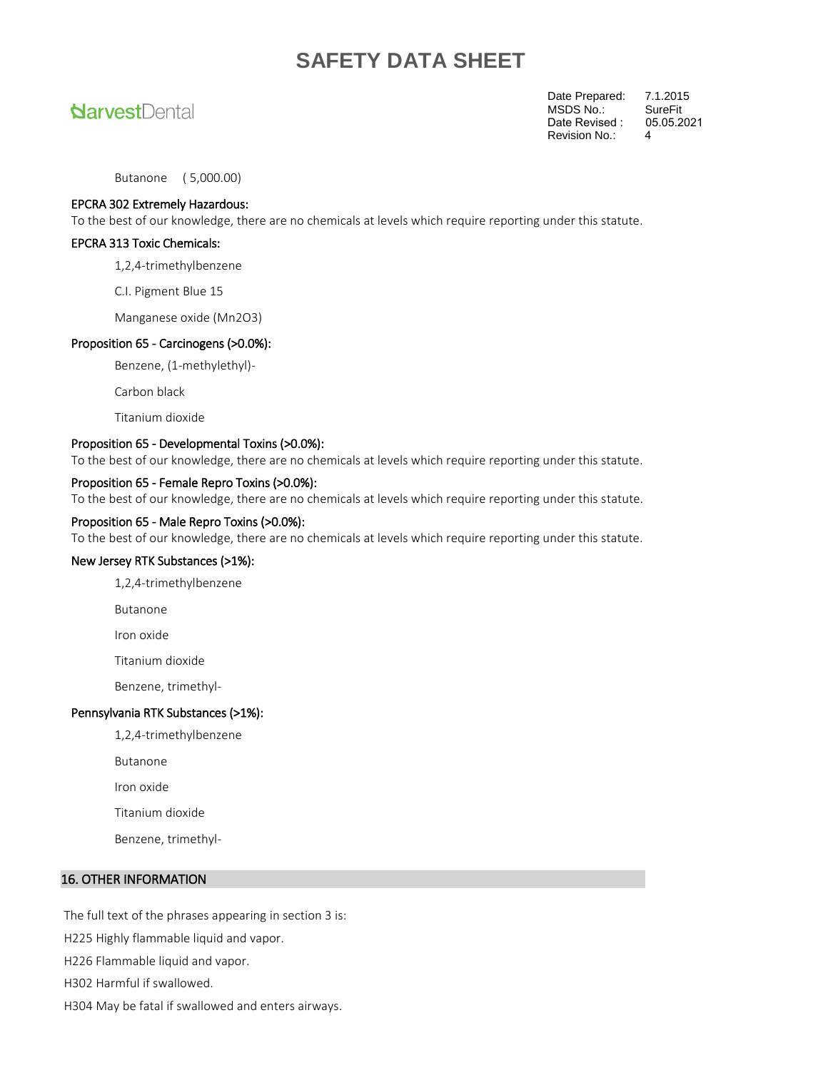### **NarvestDental**

Date Prepared: 7.1.2015<br>MSDS No.: SureFit MSDS No.: SureFit<br>Date Revised : 05.05.2021 Revision No.: 4 Date Revised :

Butanone ( 5,000.00)

#### EPCRA 302 Extremely Hazardous:

To the best of our knowledge, there are no chemicals at levels which require reporting under this statute.

#### EPCRA 313 Toxic Chemicals:

1,2,4-trimethylbenzene

C.I. Pigment Blue 15

Manganese oxide (Mn2O3)

#### Proposition 65 - Carcinogens (>0.0%):

Benzene, (1-methylethyl)-

Carbon black

Titanium dioxide

#### Proposition 65 - Developmental Toxins (>0.0%):

To the best of our knowledge, there are no chemicals at levels which require reporting under this statute.

#### Proposition 65 - Female Repro Toxins (>0.0%):

To the best of our knowledge, there are no chemicals at levels which require reporting under this statute.

#### Proposition 65 - Male Repro Toxins (>0.0%):

To the best of our knowledge, there are no chemicals at levels which require reporting under this statute.

#### New Jersey RTK Substances (>1%):

1,2,4-trimethylbenzene

Butanone

Iron oxide

Titanium dioxide

Benzene, trimethyl-

#### Pennsylvania RTK Substances (>1%):

1,2,4-trimethylbenzene

Butanone

Iron oxide

Titanium dioxide

Benzene, trimethyl-

#### 16. OTHER INFORMATION

The full text of the phrases appearing in section 3 is:

H225 Highly flammable liquid and vapor.

H226 Flammable liquid and vapor.

H302 Harmful if swallowed.

H304 May be fatal if swallowed and enters airways.